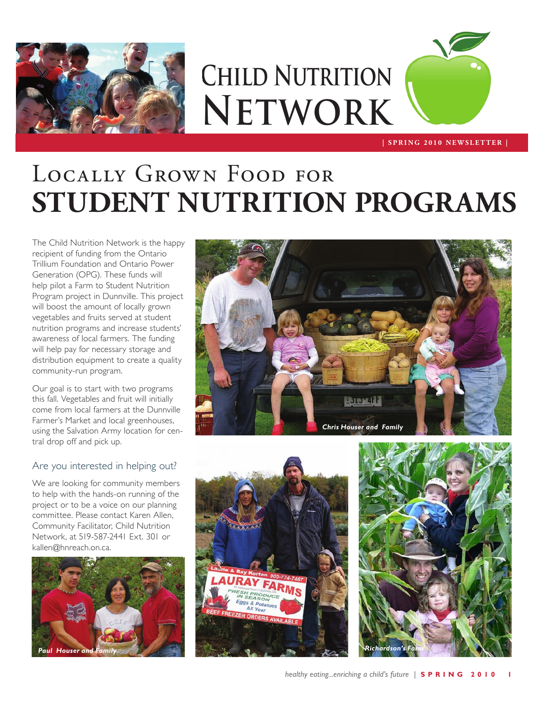

# **Child Nutrition Network**

**| S P R I N G 2 0 1 0 N E W S L E T T E R |**

# Locally Grown Food for **STUDENT NUTRITION PROGRAMS**

The Child Nutrition Network is the happy recipient of funding from the Ontario Trillium Foundation and Ontario Power Generation (OPG). These funds will help pilot a Farm to Student Nutrition Program project in Dunnville. This project will boost the amount of locally grown vegetables and fruits served at student nutrition programs and increase students' awareness of local farmers. The funding will help pay for necessary storage and distribution equipment to create a quality community-run program.

Our goal is to start with two programs this fall. Vegetables and fruit will initially come from local farmers at the Dunnville Farmer's Market and local greenhouses, using the Salvation Army location for central drop off and pick up.

### Are you interested in helping out?

We are looking for community members to help with the hands-on running of the project or to be a voice on our planning committee. Please contact Karen Allen, Community Facilitator, Child Nutrition Network, at 519-587-2441 Ext. 301 or kallen@hnreach.on.ca.







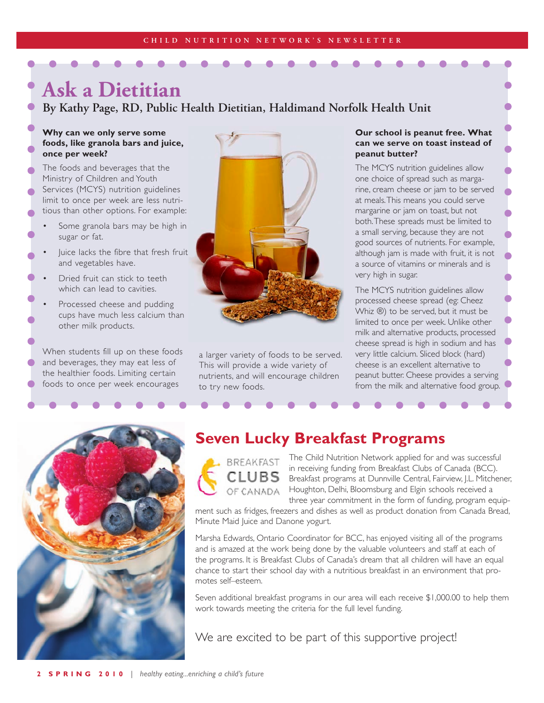### **Ask a Dietitian**

**By Kathy Page, RD, Public Health Dietitian, Haldimand Norfolk Health Unit**

### **Why can we only serve some foods, like granola bars and juice, once per week?**

- The foods and beverages that the Ministry of Children and Youth Services (MCYS) nutrition guidelines limit to once per week are less nutritious than other options. For example:
- Some granola bars may be high in sugar or fat.
- Juice lacks the fibre that fresh fruit and vegetables have.
- Dried fruit can stick to teeth which can lead to cavities.
- Processed cheese and pudding cups have much less calcium than other milk products.

When students fill up on these foods and beverages, they may eat less of the healthier foods. Limiting certain foods to once per week encourages



a larger variety of foods to be served. This will provide a wide variety of nutrients, and will encourage children to try new foods.

### **Our school is peanut free. What can we serve on toast instead of peanut butter?**

The MCYS nutrition guidelines allow one choice of spread such as margarine, cream cheese or jam to be served at meals. This means you could serve margarine or jam on toast, but not both. These spreads must be limited to a small serving, because they are not good sources of nutrients. For example, although jam is made with fruit, it is not a source of vitamins or minerals and is very high in sugar.

The MCYS nutrition guidelines allow processed cheese spread (eg: Cheez Whiz ®) to be served, but it must be limited to once per week. Unlike other milk and alternative products, processed cheese spread is high in sodium and has very little calcium. Sliced block (hard) cheese is an excellent alternative to peanut butter. Cheese provides a serving from the milk and alternative food group.



### **Seven Lucky Breakfast Programs**

BREAKFAST CLUBS OF CANADA

The Child Nutrition Network applied for and was successful in receiving funding from Breakfast Clubs of Canada (BCC). Breakfast programs at Dunnville Central, Fairview, J.L. Mitchener, Houghton, Delhi, Bloomsburg and Elgin schools received a three year commitment in the form of funding, program equip-

ment such as fridges, freezers and dishes as well as product donation from Canada Bread, Minute Maid Juice and Danone yogurt.

Marsha Edwards, Ontario Coordinator for BCC, has enjoyed visiting all of the programs and is amazed at the work being done by the valuable volunteers and staff at each of the programs. It is Breakfast Clubs of Canada's dream that all children will have an equal chance to start their school day with a nutritious breakfast in an environment that promotes self–esteem.

Seven additional breakfast programs in our area will each receive \$1,000.00 to help them work towards meeting the criteria for the full level funding.

We are excited to be part of this supportive project!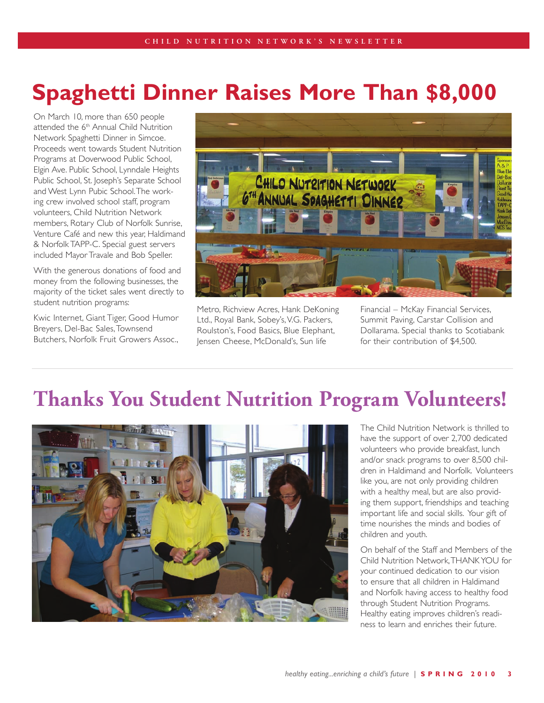## **Spaghetti Dinner Raises More Than \$8,000**

On March 10, more than 650 people attended the 6<sup>th</sup> Annual Child Nutrition Network Spaghetti Dinner in Simcoe. Proceeds went towards Student Nutrition Programs at Doverwood Public School, Elgin Ave. Public School, Lynndale Heights Public School, St. Joseph's Separate School and West Lynn Pubic School. The working crew involved school staff, program volunteers, Child Nutrition Network members, Rotary Club of Norfolk Sunrise, Venture Café and new this year, Haldimand & Norfolk TAPP-C. Special guest servers included Mayor Travale and Bob Speller.

With the generous donations of food and money from the following businesses, the majority of the ticket sales went directly to student nutrition programs:

Kwic Internet, Giant Tiger, Good Humor Breyers, Del-Bac Sales, Townsend Butchers, Norfolk Fruit Growers Assoc.,



Metro, Richview Acres, Hank DeKoning Ltd., Royal Bank, Sobey's, V.G. Packers, Roulston's, Food Basics, Blue Elephant, Jensen Cheese, McDonald's, Sun life

Financial – McKay Financial Services, Summit Paving, Carstar Collision and Dollarama. Special thanks to Scotiabank for their contribution of \$4,500.

### **Thanks You Student Nutrition Program Volunteers!**



The Child Nutrition Network is thrilled to have the support of over 2,700 dedicated volunteers who provide breakfast, lunch and/or snack programs to over 8,500 children in Haldimand and Norfolk. Volunteers like you, are not only providing children with a healthy meal, but are also providing them support, friendships and teaching important life and social skills. Your gift of time nourishes the minds and bodies of children and youth.

On behalf of the Staff and Members of the Child Nutrition Network, THANK YOU for your continued dedication to our vision to ensure that all children in Haldimand and Norfolk having access to healthy food through Student Nutrition Programs. Healthy eating improves children's readiness to learn and enriches their future.